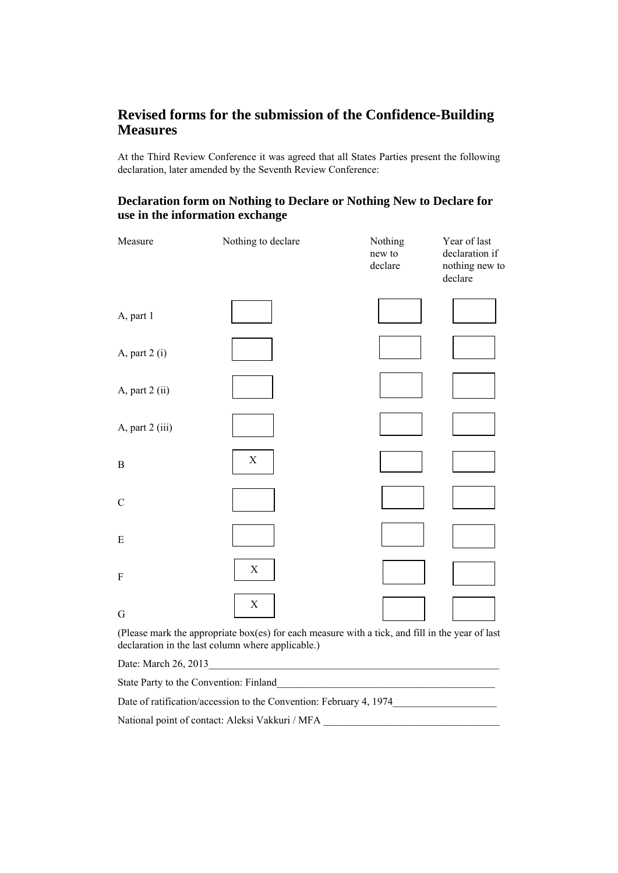## **Revised forms for the submission of the Confidence-Building Measures**

At the Third Review Conference it was agreed that all States Parties present the following declaration, later amended by the Seventh Review Conference:

## **Declaration form on Nothing to Declare or Nothing New to Declare for use in the information exchange**

| Measure                   | Nothing to declare | Nothing<br>new to<br>declare | Year of last<br>declaration if<br>nothing new to<br>declare |
|---------------------------|--------------------|------------------------------|-------------------------------------------------------------|
| A, part 1                 |                    |                              |                                                             |
| A, part 2 (i)             |                    |                              |                                                             |
| A, part 2 (ii)            |                    |                              |                                                             |
| A, part 2 (iii)           |                    |                              |                                                             |
| $\, {\bf B}$              | $\mathbf X$        |                              |                                                             |
| $\mathbf C$               |                    |                              |                                                             |
| $\mathbf E$               |                    |                              |                                                             |
| $\boldsymbol{\mathrm{F}}$ | X                  |                              |                                                             |
| ${\bf G}$                 | $\mathbf X$        |                              |                                                             |

(Please mark the appropriate box(es) for each measure with a tick, and fill in the year of last declaration in the last column where applicable.)

Date: March 26, 2013

State Party to the Convention: Finland\_\_\_\_\_\_\_\_\_\_\_\_\_\_\_\_\_\_\_\_\_\_\_\_\_\_\_\_\_\_\_\_\_\_\_\_\_\_\_\_\_\_

Date of ratification/accession to the Convention: February 4, 1974\_\_\_\_\_\_\_\_\_\_\_\_\_\_\_\_\_\_\_\_

National point of contact: Aleksi Vakkuri / MFA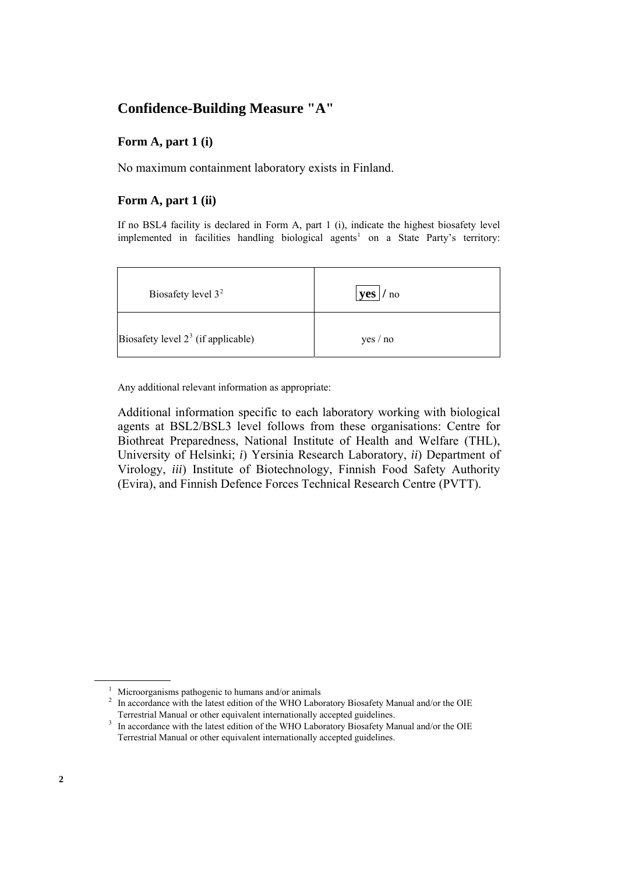## **Confidence-Building Measure "A"**

## **Form A, part 1 (i)**

No maximum containment laboratory exists in Finland.

## **Form A, part 1 (ii)**

If no BSL4 facility is declared in Form A, part 1 (i), indicate the highest biosafety level implemented in facilities handling biological agents<sup>1</sup> on a State Party's territory:

| Biosafety level $32$                 | <b>yes</b><br>/no |
|--------------------------------------|-------------------|
| Biosafety level $23$ (if applicable) | yes / no          |

Any additional relevant information as appropriate:

Additional information specific to each laboratory working with biological agents at BSL2/BSL3 level follows from these organisations: Centre for Biothreat Preparedness, National Institute of Health and Welfare (THL), University of Helsinki; *i*) Yersinia Research Laboratory, *ii*) Department of Virology, *iii*) Institute of Biotechnology, Finnish Food Safety Authority (Evira), and Finnish Defence Forces Technical Research Centre (PVTT).

<sup>&</sup>lt;sup>1</sup> Microorganisms pathogenic to humans and/or animals  $\frac{2}{\pi}$  In accordance with the latest edition of the WHO I abo

<span id="page-1-1"></span><span id="page-1-0"></span><sup>&</sup>lt;sup>2</sup> In accordance with the latest edition of the WHO Laboratory Biosafety Manual and/or the OIE Terrestrial Manual or other equivalent internationally accepted guidelines. 3

<span id="page-1-2"></span><sup>&</sup>lt;sup>3</sup> In accordance with the latest edition of the WHO Laboratory Biosafety Manual and/or the OIE Terrestrial Manual or other equivalent internationally accepted guidelines.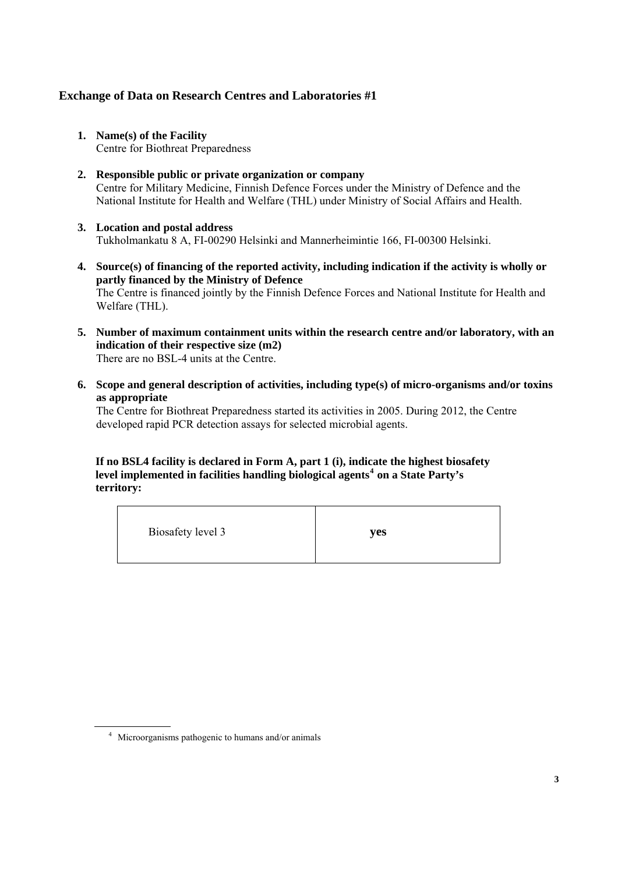- **1. Name(s) of the Facility**  Centre for Biothreat Preparedness
- **2. Responsible public or private organization or company**  Centre for Military Medicine, Finnish Defence Forces under the Ministry of Defence and the National Institute for Health and Welfare (THL) under Ministry of Social Affairs and Health.
- **3. Location and postal address**  Tukholmankatu 8 A, FI-00290 Helsinki and Mannerheimintie 166, FI-00300 Helsinki.
- **4. Source(s) of financing of the reported activity, including indication if the activity is wholly or partly financed by the Ministry of Defence**  The Centre is financed jointly by the Finnish Defence Forces and National Institute for Health and Welfare (THL).
- **5. Number of maximum containment units within the research centre and/or laboratory, with an indication of their respective size (m2)**  There are no BSL-4 units at the Centre.
- **6. Scope and general description of activities, including type(s) of micro-organisms and/or toxins as appropriate**

The Centre for Biothreat Preparedness started its activities in 2005. During 2012, the Centre developed rapid PCR detection assays for selected microbial agents.

## **If no BSL4 facility is declared in Form A, part 1 (i), indicate the highest biosafety level implemented in facilities handling biological agents[4](#page-2-0) on a State Party's territory:**

| Biosafety level 3 | yes |
|-------------------|-----|
|                   |     |

<span id="page-2-0"></span><sup>4</sup> Microorganisms pathogenic to humans and/or animals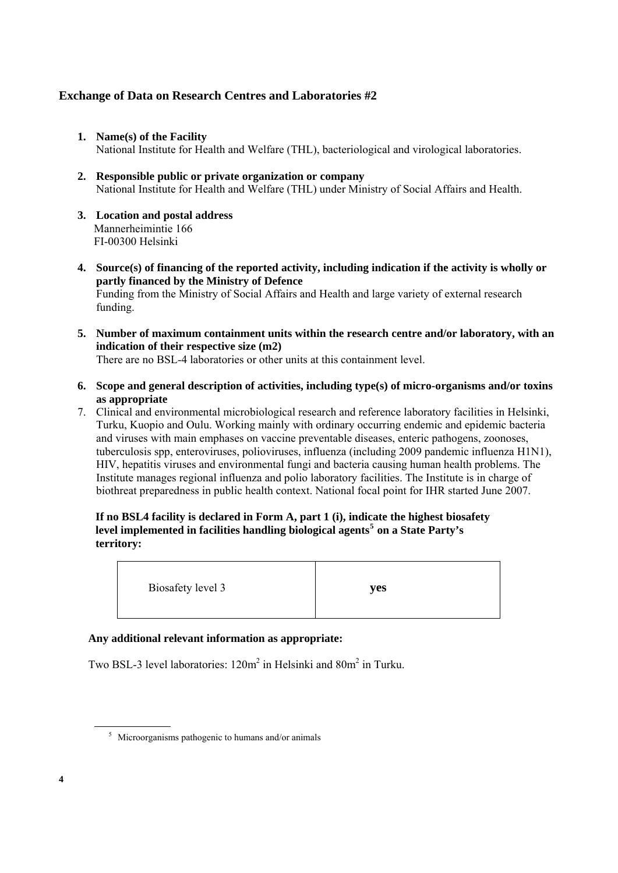- **1. Name(s) of the Facility**  National Institute for Health and Welfare (THL), bacteriological and virological laboratories.
- **2. Responsible public or private organization or company**  National Institute for Health and Welfare (THL) under Ministry of Social Affairs and Health.
- **3. Location and postal address**  Mannerheimintie 166 FI-00300 Helsinki
- **4. Source(s) of financing of the reported activity, including indication if the activity is wholly or partly financed by the Ministry of Defence**  Funding from the Ministry of Social Affairs and Health and large variety of external research funding.
- **5. Number of maximum containment units within the research centre and/or laboratory, with an indication of their respective size (m2)**

There are no BSL-4 laboratories or other units at this containment level.

- **6. Scope and general description of activities, including type(s) of micro-organisms and/or toxins as appropriate**
- 7. Clinical and environmental microbiological research and reference laboratory facilities in Helsinki, Turku, Kuopio and Oulu. Working mainly with ordinary occurring endemic and epidemic bacteria and viruses with main emphases on vaccine preventable diseases, enteric pathogens, zoonoses, tuberculosis spp, enteroviruses, polioviruses, influenza (including 2009 pandemic influenza H1N1), HIV, hepatitis viruses and environmental fungi and bacteria causing human health problems. The Institute manages regional influenza and polio laboratory facilities. The Institute is in charge of biothreat preparedness in public health context. National focal point for IHR started June 2007.

## **If no BSL4 facility is declared in Form A, part 1 (i), indicate the highest biosafety level implemented in facilities handling biological agents[5](#page-3-0) on a State Party's territory:**

Biosafety level 3 **yes** 

## **Any additional relevant information as appropriate:**

Two BSL-3 level laboratories:  $120m^2$  in Helsinki and  $80m^2$  in Turku.

<span id="page-3-0"></span><sup>&</sup>lt;sup>5</sup> Microorganisms pathogenic to humans and/or animals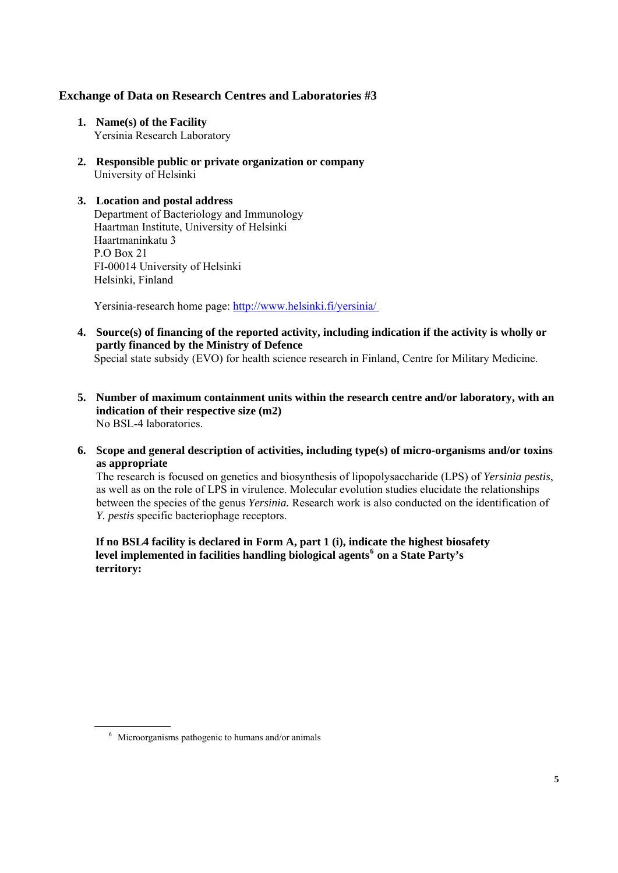- **1. Name(s) of the Facility**  Yersinia Research Laboratory
- **2. Responsible public or private organization or company**  University of Helsinki
- **3. Location and postal address**  Department of Bacteriology and Immunology Haartman Institute, University of Helsinki Haartmaninkatu 3 P.O Box 21 FI-00014 University of Helsinki Helsinki, Finland

Yersinia-research home page: http://www.helsinki.fi/yersinia/

**4. Source(s) of financing of the reported activity, including indication if the activity is wholly or partly financed by the Ministry of Defence** 

Special state subsidy (EVO) for health science research in Finland, Centre for Military Medicine.

- **5. Number of maximum containment units within the research centre and/or laboratory, with an indication of their respective size (m2)**  No BSL-4 laboratories.
- **6. Scope and general description of activities, including type(s) of micro-organisms and/or toxins as appropriate**

The research is focused on genetics and biosynthesis of lipopolysaccharide (LPS) of *Yersinia pestis*, as well as on the role of LPS in virulence. Molecular evolution studies elucidate the relationships between the species of the genus *Yersinia.* Research work is also conducted on the identification of *Y. pestis* specific bacteriophage receptors.

**If no BSL4 facility is declared in Form A, part 1 (i), indicate the highest biosafety level implemented in facilities handling biological agents[6](#page-4-0) on a State Party's territory:** 

<span id="page-4-0"></span><sup>6</sup> Microorganisms pathogenic to humans and/or animals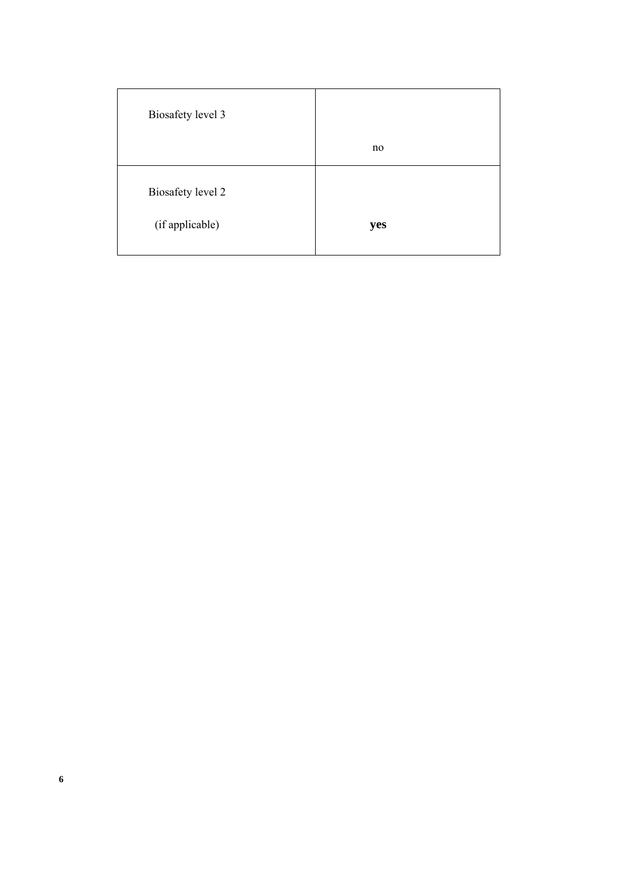| Biosafety level 3                    |     |
|--------------------------------------|-----|
|                                      |     |
|                                      | no  |
| Biosafety level 2<br>(if applicable) | yes |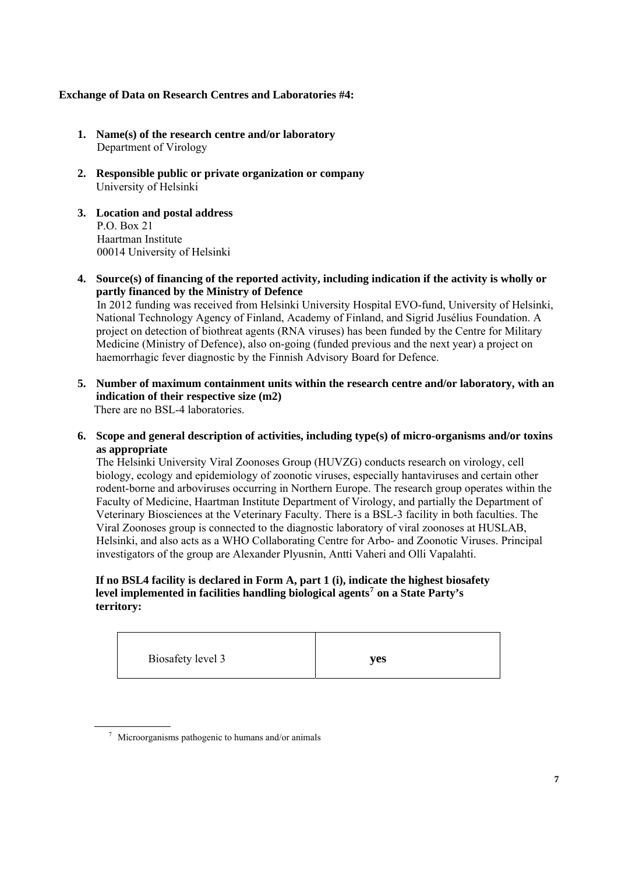- **1. Name(s) of the research centre and/or laboratory**  Department of Virology
- **2. Responsible public or private organization or company**  University of Helsinki
- **3. Location and postal address**  P.O. Box 21 Haartman Institute 00014 University of Helsinki
- **4. Source(s) of financing of the reported activity, including indication if the activity is wholly or partly financed by the Ministry of Defence**

 In 2012 funding was received from Helsinki University Hospital EVO-fund, University of Helsinki, National Technology Agency of Finland, Academy of Finland, and Sigrid Jusélius Foundation. A project on detection of biothreat agents (RNA viruses) has been funded by the Centre for Military Medicine (Ministry of Defence), also on-going (funded previous and the next year) a project on haemorrhagic fever diagnostic by the Finnish Advisory Board for Defence.

- **5. Number of maximum containment units within the research centre and/or laboratory, with an indication of their respective size (m2)**  There are no BSL-4 laboratories.
- **6. Scope and general description of activities, including type(s) of micro-organisms and/or toxins as appropriate**

The Helsinki University Viral Zoonoses Group (HUVZG) conducts research on virology, cell biology, ecology and epidemiology of zoonotic viruses, especially hantaviruses and certain other rodent-borne and arboviruses occurring in Northern Europe. The research group operates within the Faculty of Medicine, Haartman Institute Department of Virology, and partially the Department of Veterinary Biosciences at the Veterinary Faculty. There is a BSL-3 facility in both faculties. The Viral Zoonoses group is connected to the diagnostic laboratory of viral zoonoses at HUSLAB, Helsinki, and also acts as a WHO Collaborating Centre for Arbo- and Zoonotic Viruses. Principal investigators of the group are Alexander Plyusnin, Antti Vaheri and Olli Vapalahti.

#### **If no BSL4 facility is declared in Form A, part 1 (i), indicate the highest biosafety level implemented in facilities handling biological agents[7](#page-6-0) on a State Party's territory:**

| Biosafety level 3 | yes |
|-------------------|-----|
|-------------------|-----|

<span id="page-6-0"></span> $\frac{7}{1}$  Microorganisms pathogenic to humans and/or animals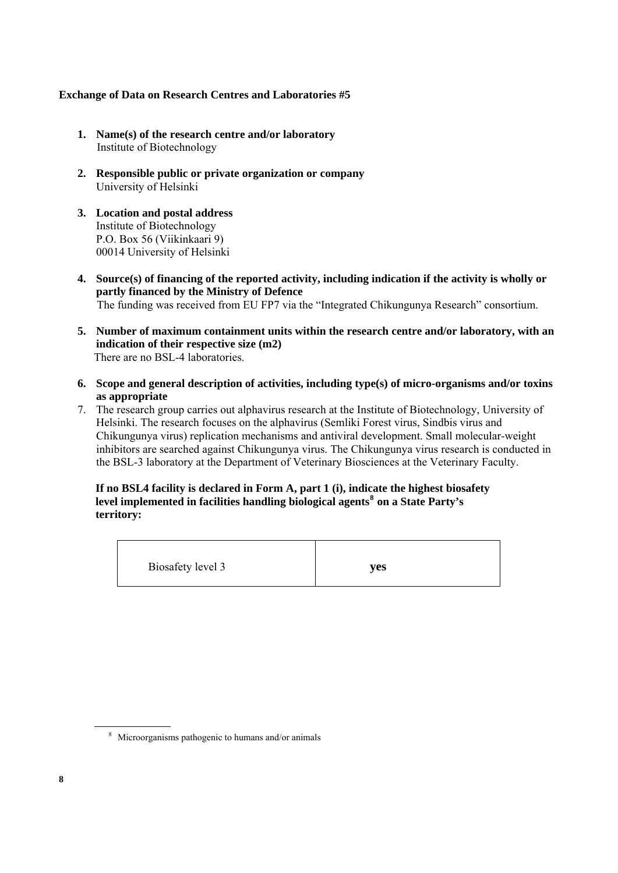- **1. Name(s) of the research centre and/or laboratory**  Institute of Biotechnology
- **2. Responsible public or private organization or company**  University of Helsinki
- **3. Location and postal address**  Institute of Biotechnology P.O. Box 56 (Viikinkaari 9) 00014 University of Helsinki
- **4. Source(s) of financing of the reported activity, including indication if the activity is wholly or partly financed by the Ministry of Defence**  The funding was received from EU FP7 via the "Integrated Chikungunya Research" consortium.
- **5. Number of maximum containment units within the research centre and/or laboratory, with an indication of their respective size (m2)**  There are no BSL-4 laboratories.
- **6. Scope and general description of activities, including type(s) of micro-organisms and/or toxins as appropriate**
- 7. The research group carries out alphavirus research at the Institute of Biotechnology, University of Helsinki. The research focuses on the alphavirus (Semliki Forest virus, Sindbis virus and Chikungunya virus) replication mechanisms and antiviral development. Small molecular-weight inhibitors are searched against Chikungunya virus. The Chikungunya virus research is conducted in the BSL-3 laboratory at the Department of Veterinary Biosciences at the Veterinary Faculty.

**If no BSL4 facility is declared in Form A, part 1 (i), indicate the highest biosafety level implemented in facilities handling biological agents[8](#page-7-0) on a State Party's territory:** 

Biosafety level 3 **yes** 

<span id="page-7-0"></span><sup>8</sup> Microorganisms pathogenic to humans and/or animals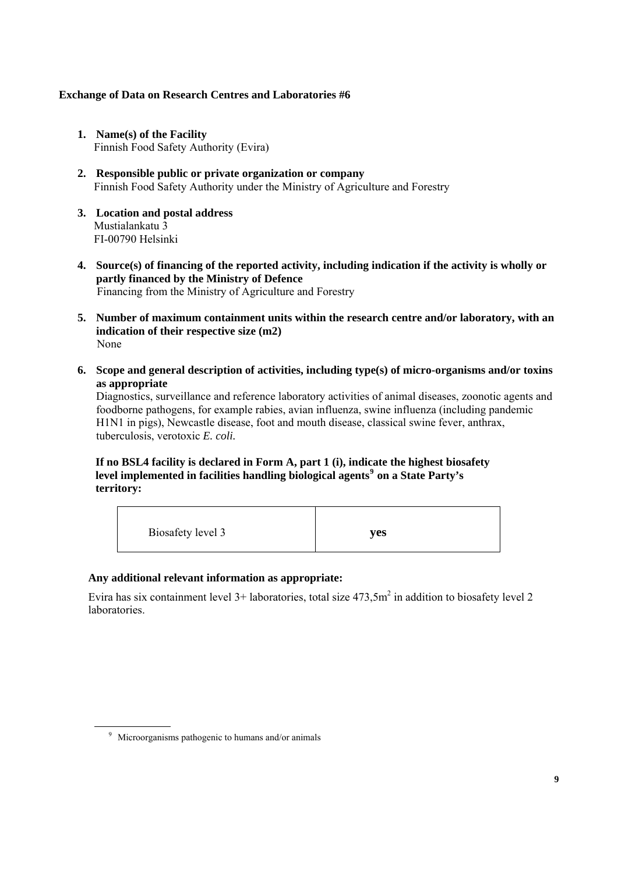- **1. Name(s) of the Facility**  Finnish Food Safety Authority (Evira)
- **2. Responsible public or private organization or company**  Finnish Food Safety Authority under the Ministry of Agriculture and Forestry
- **3. Location and postal address**  Mustialankatu 3 FI-00790 Helsinki
- **4. Source(s) of financing of the reported activity, including indication if the activity is wholly or partly financed by the Ministry of Defence**  Financing from the Ministry of Agriculture and Forestry
- **5. Number of maximum containment units within the research centre and/or laboratory, with an indication of their respective size (m2)**  None
- **6. Scope and general description of activities, including type(s) of micro-organisms and/or toxins as appropriate**

Diagnostics, surveillance and reference laboratory activities of animal diseases, zoonotic agents and foodborne pathogens, for example rabies, avian influenza, swine influenza (including pandemic H1N1 in pigs), Newcastle disease, foot and mouth disease, classical swine fever, anthrax, tuberculosis, verotoxic *E. coli.* 

**If no BSL4 facility is declared in Form A, part 1 (i), indicate the highest biosafety level implemented in facilities handling biological agents[9](#page-8-0) on a State Party's territory:**

| Biosafety level 3<br>ves |
|--------------------------|
|--------------------------|

#### **Any additional relevant information as appropriate:**

Evira has six containment level  $3+$  laboratories, total size  $473, 5m<sup>2</sup>$  in addition to biosafety level 2 laboratories.

<span id="page-8-0"></span><sup>&</sup>lt;sup>9</sup> Microorganisms pathogenic to humans and/or animals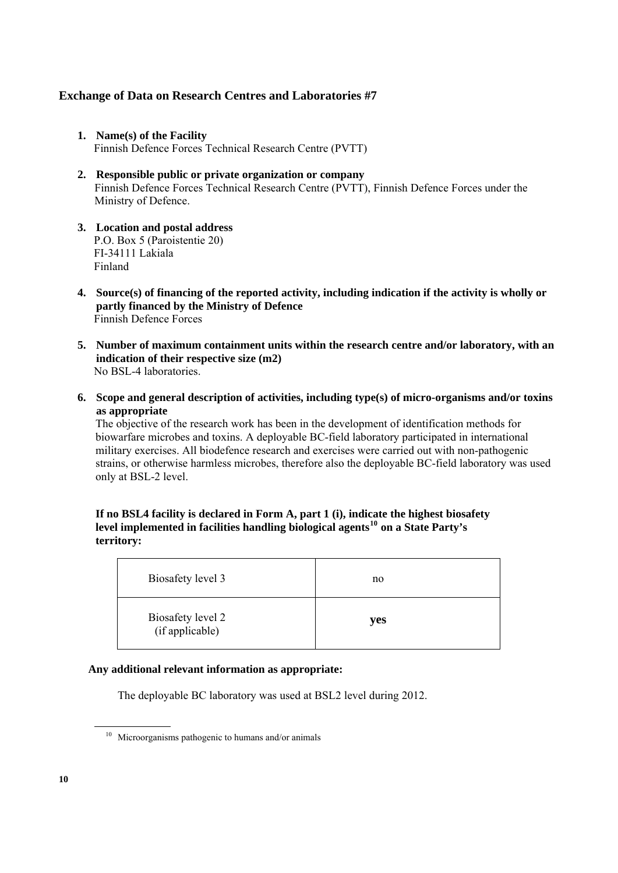- **1. Name(s) of the Facility**  Finnish Defence Forces Technical Research Centre (PVTT)
- **2. Responsible public or private organization or company**  Finnish Defence Forces Technical Research Centre (PVTT), Finnish Defence Forces under the Ministry of Defence.
- **3. Location and postal address**  P.O. Box 5 (Paroistentie 20) FI-34111 Lakiala Finland
- **4. Source(s) of financing of the reported activity, including indication if the activity is wholly or partly financed by the Ministry of Defence**  Finnish Defence Forces
- **5. Number of maximum containment units within the research centre and/or laboratory, with an indication of their respective size (m2)**  No BSL-4 laboratories.
- **6. Scope and general description of activities, including type(s) of micro-organisms and/or toxins as appropriate**

The objective of the research work has been in the development of identification methods for biowarfare microbes and toxins. A deployable BC-field laboratory participated in international military exercises. All biodefence research and exercises were carried out with non-pathogenic strains, or otherwise harmless microbes, therefore also the deployable BC-field laboratory was used only at BSL-2 level.

### **If no BSL4 facility is declared in Form A, part 1 (i), indicate the highest biosafety level implemented in facilities handling biological agents[10](#page-9-0) on a State Party's territory:**

| Biosafety level 3                    | no  |
|--------------------------------------|-----|
| Biosafety level 2<br>(if applicable) | yes |

#### **Any additional relevant information as appropriate:**

The deployable BC laboratory was used at BSL2 level during 2012.

<span id="page-9-0"></span><sup>10</sup> Microorganisms pathogenic to humans and/or animals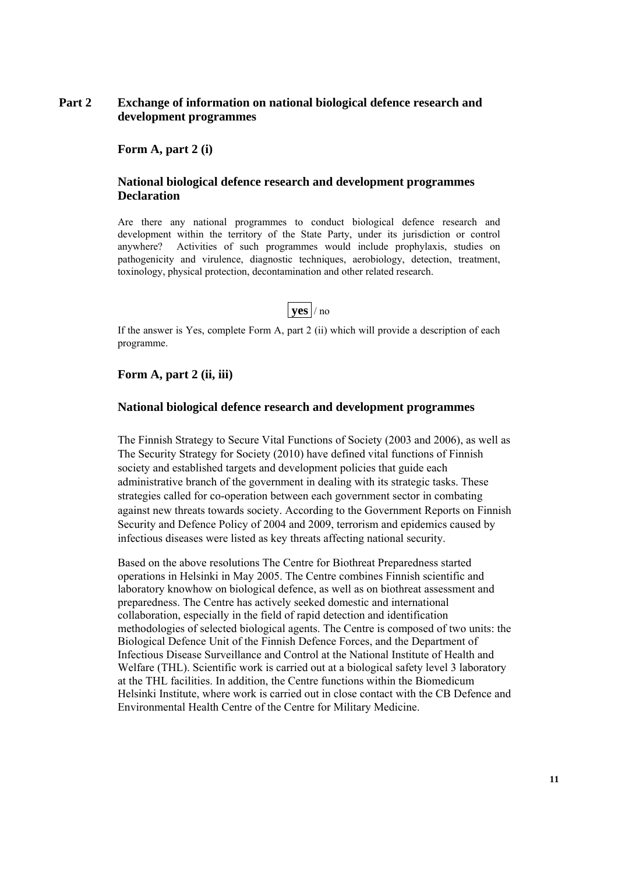## **Part 2 Exchange of information on national biological defence research and development programmes**

 **Form A, part 2 (i)** 

#### **National biological defence research and development programmes Declaration**

Are there any national programmes to conduct biological defence research and development within the territory of the State Party, under its jurisdiction or control anywhere? Activities of such programmes would include prophylaxis, studies on pathogenicity and virulence, diagnostic techniques, aerobiology, detection, treatment, toxinology, physical protection, decontamination and other related research.



If the answer is Yes, complete Form A, part 2 (ii) which will provide a description of each programme.

#### **Form A, part 2 (ii, iii)**

#### **National biological defence research and development programmes**

The Finnish Strategy to Secure Vital Functions of Society (2003 and 2006), as well as The Security Strategy for Society (2010) have defined vital functions of Finnish society and established targets and development policies that guide each administrative branch of the government in dealing with its strategic tasks. These strategies called for co-operation between each government sector in combating against new threats towards society. According to the Government Reports on Finnish Security and Defence Policy of 2004 and 2009, terrorism and epidemics caused by infectious diseases were listed as key threats affecting national security.

Based on the above resolutions The Centre for Biothreat Preparedness started operations in Helsinki in May 2005. The Centre combines Finnish scientific and laboratory knowhow on biological defence, as well as on biothreat assessment and preparedness. The Centre has actively seeked domestic and international collaboration, especially in the field of rapid detection and identification methodologies of selected biological agents. The Centre is composed of two units: the Biological Defence Unit of the Finnish Defence Forces, and the Department of Infectious Disease Surveillance and Control at the National Institute of Health and Welfare (THL). Scientific work is carried out at a biological safety level 3 laboratory at the THL facilities. In addition, the Centre functions within the Biomedicum Helsinki Institute, where work is carried out in close contact with the CB Defence and Environmental Health Centre of the Centre for Military Medicine.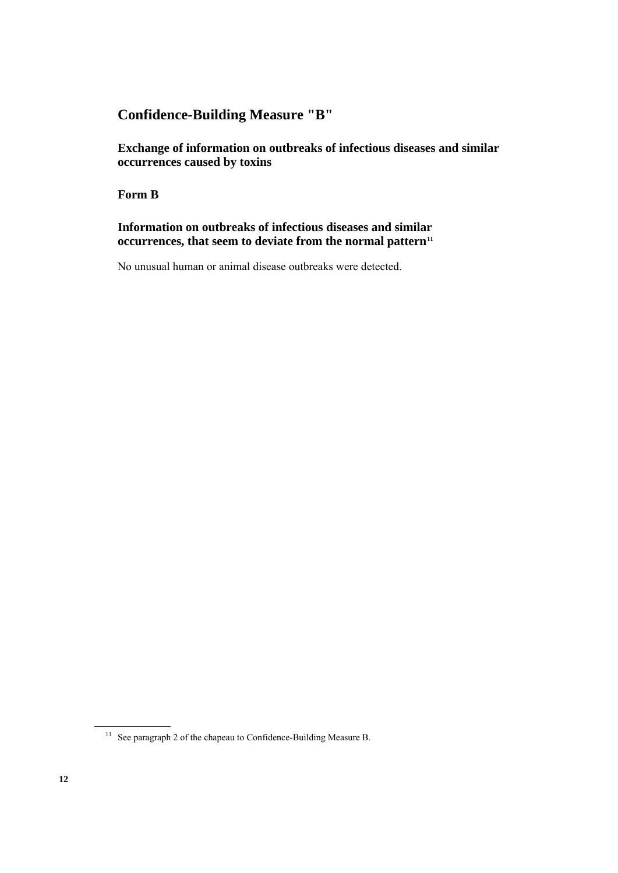# **Confidence-Building Measure "B"**

 **Exchange of information on outbreaks of infectious diseases and similar occurrences caused by toxins** 

 **Form B** 

 **Information on outbreaks of infectious diseases and similar occurrences, that seem to deviate from the normal pattern<sup>11</sup>** 

No unusual human or animal disease outbreaks were detected.

<span id="page-11-0"></span><sup>&</sup>lt;sup>11</sup> See paragraph 2 of the chapeau to Confidence-Building Measure B.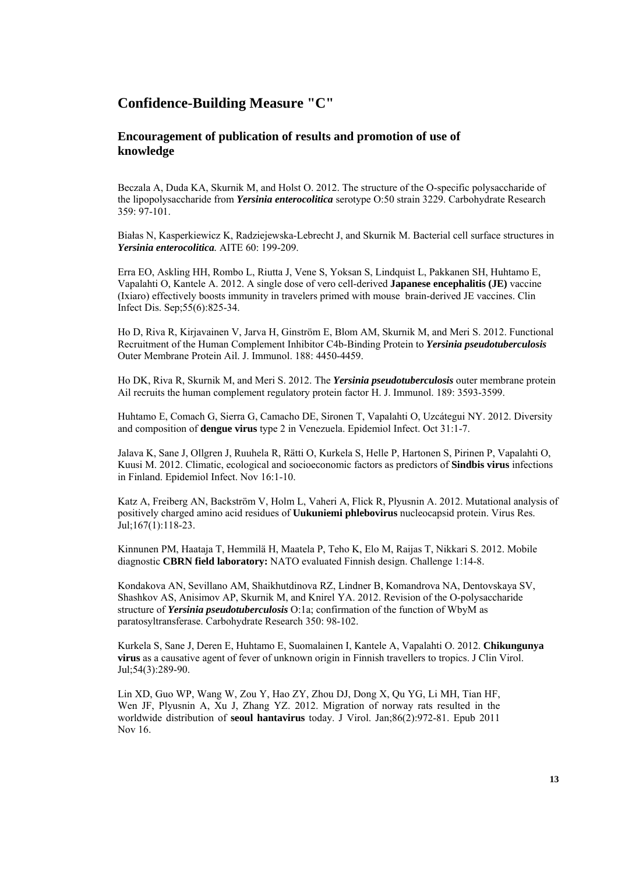## **Confidence-Building Measure "C"**

#### **Encouragement of publication of results and promotion of use of knowledge**

Beczala A, Duda KA, Skurnik M, and Holst O. 2012. The structure of the O-specific polysaccharide of the lipopolysaccharide from *Yersinia enterocolitica* serotype O:50 strain 3229. Carbohydrate Research 359: 97-101.

Białas N, Kasperkiewicz K, Radziejewska-Lebrecht J, and Skurnik M. Bacterial cell surface structures in *Yersinia enterocolitica.* AITE 60: 199-209.

Erra EO, Askling HH, Rombo L, Riutta J, Vene S, Yoksan S, Lindquist L, Pakkanen SH, Huhtamo E, Vapalahti O, Kantele A. 2012. A single dose of vero cell-derived **Japanese encephalitis (JE)** vaccine (Ixiaro) effectively boosts immunity in travelers primed with mouse brain-derived JE vaccines. Clin Infect Dis. Sep;55(6):825-34.

Ho D, Riva R, Kirjavainen V, Jarva H, Ginström E, Blom AM, Skurnik M, and Meri S. 2012. Functional Recruitment of the Human Complement Inhibitor C4b-Binding Protein to *Yersinia pseudotuberculosis* Outer Membrane Protein Ail. J. Immunol. 188: 4450-4459.

Ho DK, Riva R, Skurnik M, and Meri S. 2012. The *Yersinia pseudotuberculosis* outer membrane protein Ail recruits the human complement regulatory protein factor H. J. Immunol. 189: 3593-3599.

Huhtamo E, Comach G, Sierra G, Camacho DE, Sironen T, Vapalahti O, Uzcátegui NY. 2012. Diversity and composition of **dengue virus** type 2 in Venezuela. Epidemiol Infect. Oct 31:1-7.

Jalava K, Sane J, Ollgren J, Ruuhela R, Rätti O, Kurkela S, Helle P, Hartonen S, Pirinen P, Vapalahti O, Kuusi M. 2012. Climatic, ecological and socioeconomic factors as predictors of **Sindbis virus** infections in Finland. Epidemiol Infect. Nov 16:1-10.

Katz A, Freiberg AN, Backström V, Holm L, Vaheri A, Flick R, Plyusnin A. 2012. Mutational analysis of positively charged amino acid residues of **Uukuniemi phlebovirus** nucleocapsid protein. Virus Res. Jul;167(1):118-23.

Kinnunen PM, Haataja T, Hemmilä H, Maatela P, Teho K, Elo M, Raijas T, Nikkari S. 2012. Mobile diagnostic **CBRN field laboratory:** NATO evaluated Finnish design. Challenge 1:14-8.

Kondakova AN, Sevillano AM, Shaikhutdinova RZ, Lindner B, Komandrova NA, Dentovskaya SV, Shashkov AS, Anisimov AP, Skurnik M, and Knirel YA. 2012. Revision of the O-polysaccharide structure of *Yersinia pseudotuberculosis* O:1a; confirmation of the function of WbyM as paratosyltransferase. Carbohydrate Research 350: 98-102.

Kurkela S, Sane J, Deren E, Huhtamo E, Suomalainen I, Kantele A, Vapalahti O. 2012. **[Chikungunya](http://www.ncbi.nlm.nih.gov/pubmed/22459001)  virus** [as a causative agent of fever of unknown origin in Finnish travellers to tropics.](http://www.ncbi.nlm.nih.gov/pubmed/22459001) J Clin Virol. Jul;54(3):289-90.

Lin XD, Guo WP, Wang W, Zou Y, Hao ZY, Zhou DJ, Dong X, Qu YG, Li MH, Tian HF, Wen JF, Plyusnin A, Xu J, Zhang YZ. 2012. Migration of norway rats resulted in the worldwide distribution of **seoul hantavirus** today. J Virol. Jan;86(2):972-81. Epub 2011 Nov 16.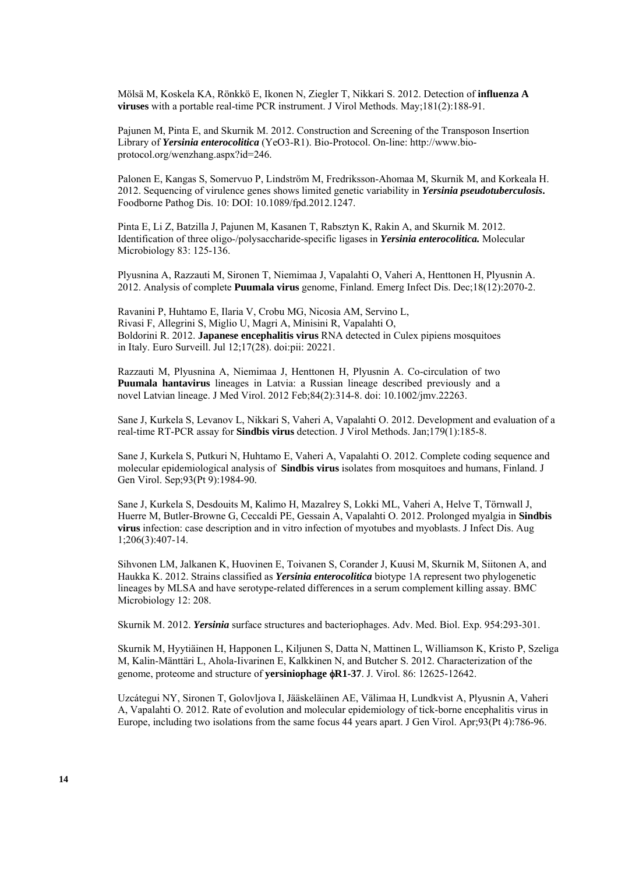Mölsä M, Koskela KA, Rönkkö E, Ikonen N, Ziegler T, Nikkari S. 2012. Detection of **influenza A viruses** with a portable real-time PCR instrument. J Virol Methods. May;181(2):188-91.

Pajunen M, Pinta E, and Skurnik M. 2012. Construction and Screening of the Transposon Insertion Library of *Yersinia enterocolitica* (YeO3-R1). Bio-Protocol. On-line: http://www.bioprotocol.org/wenzhang.aspx?id=246.

Palonen E, Kangas S, Somervuo P, Lindström M, Fredriksson-Ahomaa M, Skurnik M, and Korkeala H. 2012. Sequencing of virulence genes shows limited genetic variability in *Yersinia pseudotuberculosis***.** Foodborne Pathog Dis. 10: DOI: 10.1089/fpd.2012.1247.

Pinta E, Li Z, Batzilla J, Pajunen M, Kasanen T, Rabsztyn K, Rakin A, and Skurnik M. 2012. Identification of three oligo-/polysaccharide-specific ligases in *Yersinia enterocolitica.* Molecular Microbiology 83: 125-136.

Plyusnina A, Razzauti M, Sironen T, Niemimaa J, Vapalahti O, Vaheri A, Henttonen H, Plyusnin A. 2012. [Analysis of complete](http://www.ncbi.nlm.nih.gov/pubmed/23171600) **Puumala virus** genome, Finland. Emerg Infect Dis. Dec;18(12):2070-2.

Ravanini P, Huhtamo E, Ilaria V, Crobu MG, Nicosia AM, Servino L, Rivasi F, Allegrini S, Miglio U, Magri A, Minisini R, Vapalahti O, Boldorini R. 2012. **Japanese encephalitis virus** RNA detected in Culex pipiens mosquitoes in Italy. Euro Surveill. Jul 12;17(28). doi:pii: 20221.

Razzauti M, Plyusnina A, Niemimaa J, Henttonen H, Plyusnin A. Co-circulation of two **Puumala hantavirus** lineages in Latvia: a Russian lineage described previously and a novel Latvian lineage. J Med Virol. 2012 Feb;84(2):314-8. doi: 10.1002/jmv.22263.

Sane J, Kurkela S, Levanov L, Nikkari S, Vaheri A, Vapalahti O. 2012. Development and evaluation of a real-time RT-PCR assay for **Sindbis virus** detection. J Virol Methods. Jan;179(1):185-8.

Sane J, Kurkela S, Putkuri N, Huhtamo E, Vaheri A, Vapalahti O. 2012. Complete coding sequence and molecular epidemiological analysis of **Sindbis virus** isolates from mosquitoes and humans, Finland. J Gen Virol. Sep;93(Pt 9):1984-90.

Sane J, Kurkela S, Desdouits M, Kalimo H, Mazalrey S, Lokki ML, Vaheri A, Helve T, Törnwall J, Huerre M, Butler-Browne G, Ceccaldi PE, Gessain A, Vapalahti O. 2012. Prolonged myalgia in **Sindbis virus** infection: case description and in vitro infection of myotubes and myoblasts. J Infect Dis. Aug 1;206(3):407-14.

Sihvonen LM, Jalkanen K, Huovinen E, Toivanen S, Corander J, Kuusi M, Skurnik M, Siitonen A, and Haukka K. 2012. Strains classified as *Yersinia enterocolitica* biotype 1A represent two phylogenetic lineages by MLSA and have serotype-related differences in a serum complement killing assay. BMC Microbiology 12: 208.

Skurnik M. 2012. *Yersinia* surface structures and bacteriophages. Adv. Med. Biol. Exp. 954:293-301.

Skurnik M, Hyytiäinen H, Happonen L, Kiljunen S, Datta N, Mattinen L, Williamson K, Kristo P, Szeliga M, Kalin-Mänttäri L, Ahola-Iivarinen E, Kalkkinen N, and Butcher S. 2012. Characterization of the genome, proteome and structure of **yersiniophage** φ**R1-37**. J. Virol. 86: 12625-12642.

Uzcátegui NY, Sironen T, Golovljova I, Jääskeläinen AE, Välimaa H, Lundkvist A, Plyusnin A, Vaheri A, Vapalahti O. 2012. Rate of evolution and molecular epidemiology of tick-borne encephalitis virus in Europe, including two isolations from the same focus 44 years apart. J Gen Virol. Apr;93(Pt 4):786-96.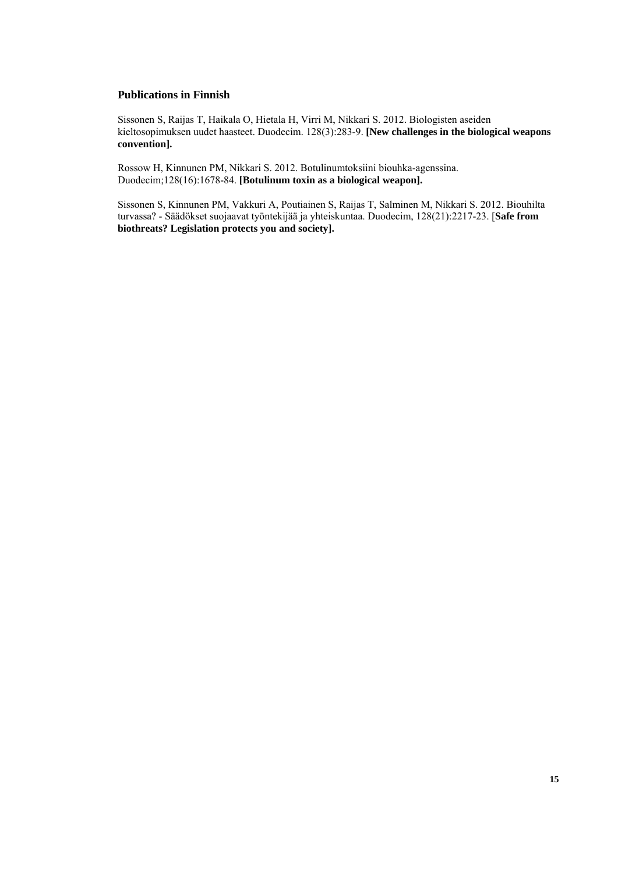#### **Publications in Finnish**

Sissonen S, Raijas T, Haikala O, Hietala H, Virri M, Nikkari S. 2012. Biologisten aseiden kieltosopimuksen uudet haasteet. Duodecim. 128(3):283-9. **[\[New challenges in the biological weapons](http://www.ncbi.nlm.nih.gov/pubmed/22428382)  [convention\].](http://www.ncbi.nlm.nih.gov/pubmed/22428382)**

Rossow H, Kinnunen PM, Nikkari S. 2012. Botulinumtoksiini biouhka-agenssina. Duodecim;128(16):1678-84. **[\[Botulinum toxin as a biological weapon\].](http://www.ncbi.nlm.nih.gov/pubmed/23025151)**

Sissonen S, Kinnunen PM, Vakkuri A, Poutiainen S, Raijas T, Salminen M, Nikkari S. 2012. Biouhilta turvassa? - Säädökset suojaavat työntekijää ja yhteiskuntaa. Duodecim, 128(21):2217-23. [**[Safe from](http://www.ncbi.nlm.nih.gov/pubmed/23210284)  [biothreats? Legislation protects you and society\].](http://www.ncbi.nlm.nih.gov/pubmed/23210284)**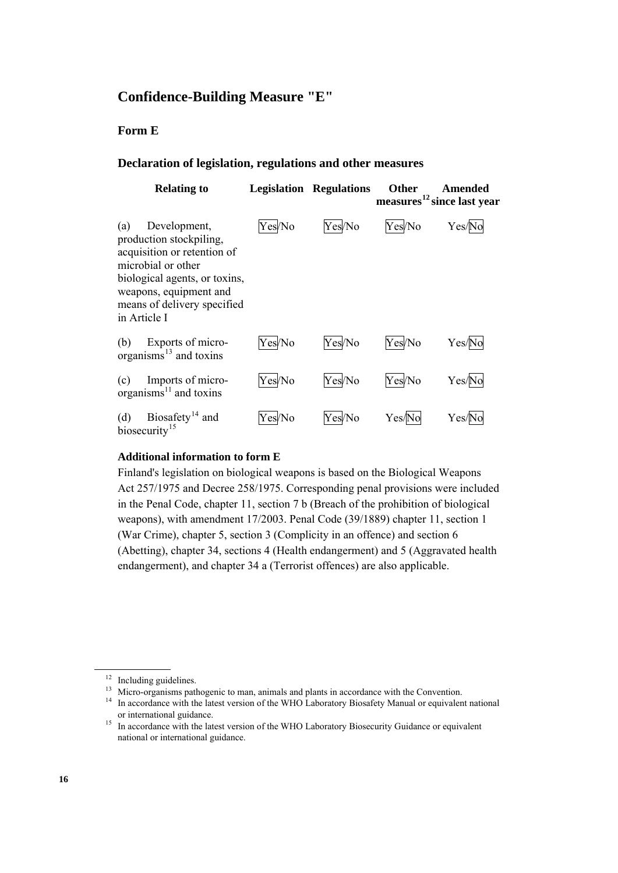## **Confidence-Building Measure "E"**

## **Form E**

#### **Declaration of legislation, regulations and other measures**

| <b>Relating to</b>                                                                                                                                                                                            | Legislation | <b>Regulations</b> | <b>Other</b> | Amended<br>measures <sup>12</sup> since last year |
|---------------------------------------------------------------------------------------------------------------------------------------------------------------------------------------------------------------|-------------|--------------------|--------------|---------------------------------------------------|
| Development,<br>(a)<br>production stockpiling,<br>acquisition or retention of<br>microbial or other<br>biological agents, or toxins,<br>weapons, equipment and<br>means of delivery specified<br>in Article I | Yes/No      | Yes/No             | Yes/No       | Yes/l                                             |
| Exports of micro-<br>(b)<br>organisms $^{13}$ and toxins                                                                                                                                                      | Yes/No      | Yes/No             | Yes/No       | Yes/N                                             |
| Imports of micro-<br>(c)<br>organisms $^{11}$ and toxins                                                                                                                                                      | Yes/No      | Yes/No             | Yes/No       | Yes/No                                            |
| Biosafety <sup>14</sup> and<br>(d)<br>biosecurity <sup>15</sup>                                                                                                                                               | Yes/No      | Yes/No             | Yes/No       | Yes/                                              |

### **Additional information to form E**

 Finland's legislation on biological weapons is based on the Biological Weapons Act 257/1975 and Decree 258/1975. Corresponding penal provisions were included in the Penal Code, chapter 11, section 7 b (Breach of the prohibition of biological weapons), with amendment 17/2003. Penal Code (39/1889) chapter 11, section 1 (War Crime), chapter 5, section 3 (Complicity in an offence) and section 6 (Abetting), chapter 34, sections 4 (Health endangerment) and 5 (Aggravated health endangerment), and chapter 34 a (Terrorist offences) are also applicable.

<span id="page-15-0"></span><sup>&</sup>lt;sup>12</sup> Including guidelines.<br><sup>13</sup> Micro-organisms pathogenic to man, animals and plants in accordance with the Convention.

<span id="page-15-2"></span><span id="page-15-1"></span><sup>&</sup>lt;sup>14</sup> In accordance with the latest version of the WHO Laboratory Biosafety Manual or equivalent national or international guidance.

<span id="page-15-3"></span><sup>&</sup>lt;sup>15</sup> In accordance with the latest version of the WHO Laboratory Biosecurity Guidance or equivalent national or international guidance.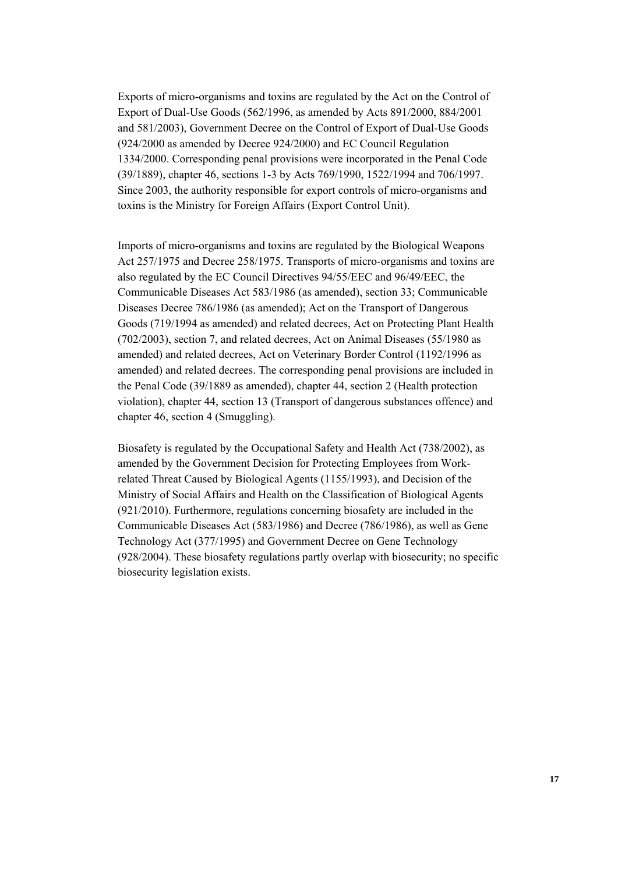Exports of micro-organisms and toxins are regulated by the Act on the Control of Export of Dual-Use Goods (562/1996, as amended by Acts 891/2000, 884/2001 and 581/2003), Government Decree on the Control of Export of Dual-Use Goods (924/2000 as amended by Decree 924/2000) and EC Council Regulation 1334/2000. Corresponding penal provisions were incorporated in the Penal Code (39/1889), chapter 46, sections 1-3 by Acts 769/1990, 1522/1994 and 706/1997. Since 2003, the authority responsible for export controls of micro-organisms and toxins is the Ministry for Foreign Affairs (Export Control Unit).

Imports of micro-organisms and toxins are regulated by the Biological Weapons Act 257/1975 and Decree 258/1975. Transports of micro-organisms and toxins are also regulated by the EC Council Directives 94/55/EEC and 96/49/EEC, the Communicable Diseases Act 583/1986 (as amended), section 33; Communicable Diseases Decree 786/1986 (as amended); Act on the Transport of Dangerous Goods (719/1994 as amended) and related decrees, Act on Protecting Plant Health (702/2003), section 7, and related decrees, Act on Animal Diseases (55/1980 as amended) and related decrees, Act on Veterinary Border Control (1192/1996 as amended) and related decrees. The corresponding penal provisions are included in the Penal Code (39/1889 as amended), chapter 44, section 2 (Health protection violation), chapter 44, section 13 (Transport of dangerous substances offence) and chapter 46, section 4 (Smuggling).

Biosafety is regulated by the Occupational Safety and Health Act (738/2002), as amended by the Government Decision for Protecting Employees from Workrelated Threat Caused by Biological Agents (1155/1993), and Decision of the Ministry of Social Affairs and Health on the Classification of Biological Agents (921/2010). Furthermore, regulations concerning biosafety are included in the Communicable Diseases Act (583/1986) and Decree (786/1986), as well as Gene Technology Act (377/1995) and Government Decree on Gene Technology (928/2004). These biosafety regulations partly overlap with biosecurity; no specific biosecurity legislation exists.